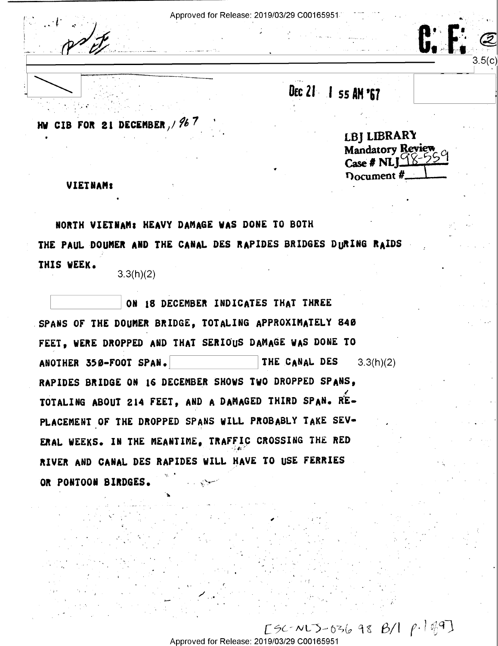HW CIB FOR 21 DECEMBER,  $/$  76 7

## Dec 21 1 55 AM '67

LBJ LIBRARY **Mandatory Review**  $Case # NLI<sub>–</sub>$ Document  $#$ .

L.

 $3.5(c)$ 

**VIETNAM:** 

NORTH VIETNAM: HEAVY DAMAGE WAS DONE TO BOTH THE PAUL DOUMER AND THE CANAL DES RAPIDES BRIDGES DURING RAIDS THIS WEEK.

 $3.3(h)(2)$ 

ON 18 DECEMBER INDICATES THAT THREE SPANS OF THE DOUMER BRIDGE, TOTALING APPROXIMATELY 840 FEET. WERE DROPPED AND THAT SERIOUS DAMAGE WAS DONE TO ANOTHER 350-FOOT SPAN. THE CANAL DES  $3.3(h)(2)$ RAPIDES BRIDGE ON 16 DECEMBER SHOWS TWO DROPPED SPANS, TOTALING ABOUT 214 FEET, AND A DAMAGED THIRD SPAN. RE-PLACEMENT OF THE DROPPED SPANS WILL PROBABLY TAKE SEV-ERAL WEEKS. IN THE MEANTIME, TRAFFIC CROSSING THE RED RIVER AND CANAL DES RAPIDES WILL HAVE TO USE FERRIES OR PONTOON BIRDGES.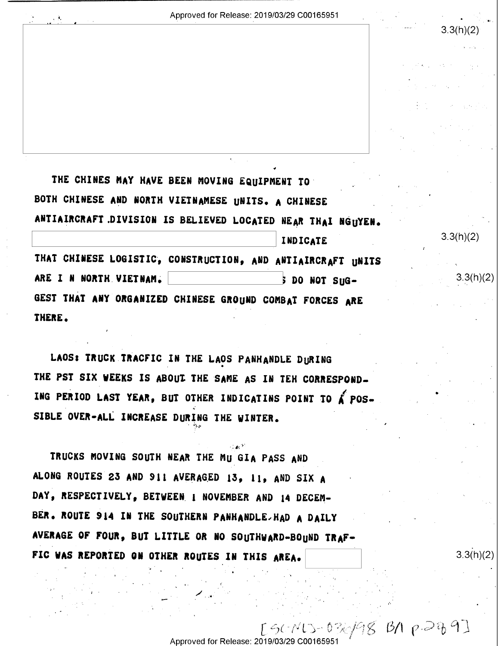THE CHINES MAY HAVE BEEN MOVING EQUIPMENT TO BOTH CHINESE AND NORTH VIETNAMESE UNITS. A CHINESE ANTIAIRCRAFT DIVISION IS BELIEVED LOCATED NEAR THAI NGUYEN. INDICATE

 $3.3(h)(2)$ 

 $3.3(h)(2)$ 

 $3.3(h)(2)$ 

THAT CHINESE LOGISTIC, CONSTRUCTION, AND ANTIAIRCRAFT UNITS ARE I N NORTH VIETNAM.  $5$  DO NOT SHG-GEST THAT ANY ORGANIZED CHINESE GROUND COMBAT FORCES ARE THERE.

LAOS: TRUCK TRACFIC IN THE LAOS PANHANDLE DIRING THE PST SIX WEEKS IS ABOUT THE SAME AS IN TEH CORRESPOND-ING PERIOD LAST YEAR, BUT OTHER INDICATINS POINT TO A POS-SIBLE OVER-ALL INCREASE DURING THE WINTER.

TRUCKS MOVING SOUTH NEAR THE MU GIA PASS AND ALONG ROUTES 23 AND 911 AVERAGED 13, 11, AND SIX A DAY, RESPECTIVELY, BETWEEN I NOVEMBER AND 14 DECEM-BER. ROUTE 914 IN THE SOUTHERN PANHANDLE-HAD A DAILY AVERAGE OF FOUR, BUT LITTLE OR NO SOUTHWARD-BOUND TRAF-FIC WAS REPORTED ON OTHER ROUTES IN THIS AREA.

 $3.3(h)(2)$ 

[SCNL3-036/98 BA p.289] Approved for Release: 2019/03.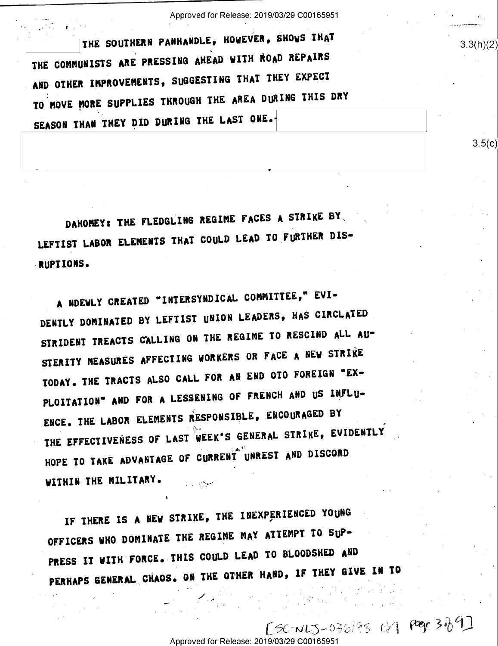$3.3(h)(2)$ 

 $3.5(c)$ 

THE SOUTHERN PANHANDLE, HOWEVER, SHOWS THAT THE COMMUNISTS ARE PRESSING AHEAD WITH ROAD REPAIRS AND OTHER IMPROVEMENTS, SUGGESTING THAT THEY EXPECT TO MOVE MORE SUPPLIES THROUGH THE AREA DURING THIS DRY SEASON THAN THEY DID DURING THE LAST ONE.

DAHOMEY: THE FLEDGLING REGIME FACES A STRIKE BY LEFTIST LABOR ELEMENTS THAT COULD LEAD TO FURTHER DIS-RUPTIONS.

A NDEWLY CREATED "INTERSYNDICAL COMMITTEE," EVI-DENTLY DOMINATED BY LEFTIST UNION LEADERS, HAS CIRCLATED STRIDENT TREACTS CALLING ON THE REGIME TO RESCIND ALL AU-STERITY MEASURES AFFECTING WORKERS OR FACE A NEW STRIKE TODAY. THE TRACTS ALSO CALL FOR AN END OTO FOREIGN "EX-PLOITATION" AND FOR A LESSENING OF FRENCH AND US INFLU-ENCE. THE LABOR ELEMENTS RESPONSIBLE, ENCOURAGED BY THE EFFECTIVENESS OF LAST WEEK'S GENERAL STRIKE, EVIDENTLY HOPE TO TAKE ADVANTAGE OF CURRENT UNREST AND DISCORD WITHIN THE MILITARY.

IF THERE IS A NEW STRIKE, THE INEXPERIENCED YOUNG OFFICERS WHO DOMINATE THE REGIME MAY ATTEMPT TO SUP-PRESS IT WITH FORCE. THIS COULD LEAD TO BLOODSHED AND PERHAPS GENERAL CHAOS. ON THE OTHER HAND, IF THEY GIVE IN TO

> $[5c$ -NLJ-036/98 B1 page 3B9] Approved for Release: 2019/03/29 C00165951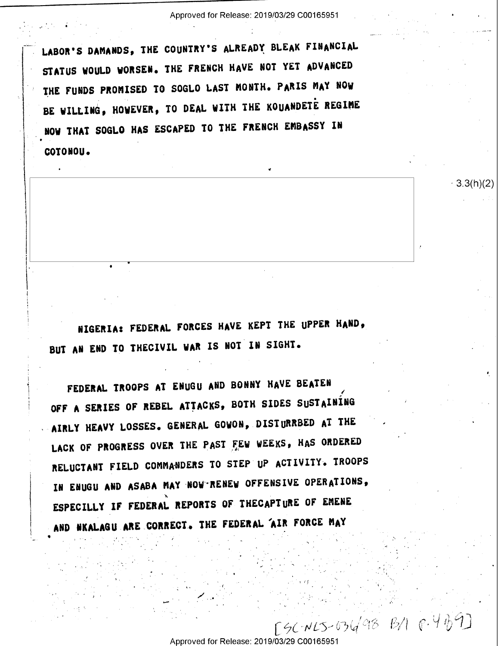$-3.3(h)(2)$ 

LABOR'S DAMANDS, THE COUNTRY'S ALREADY BLEAK FINANCIAL STATUS WOULD WORSEN. THE FRENCH HAVE NOT YET ADVANCED THE FUNDS PROMISED TO SOGLO LAST MONTH. PARIS MAY NOW BE WILLING, HOWEVER, TO DEAL WITH THE KOUANDETE REGIME NOW THAT SOGLO HAS ESCAPED TO THE FRENCH EMBASSY IN COTONOU.

NIGERIA: FEDERAL FORCES HAVE KEPT THE UPPER HAND. BUT AN END TO THECIVIL WAR IS NOT IN SIGHT.

FEDERAL TROOPS AT ENUGU AND BONNY HAVE BEATEN OFF A SERIES OF REBEL ATTACKS, BOTH SIDES SUSTAINING AIRLY HEAVY LOSSES. GENERAL GOWON, DISTURRBED AT THE LACK OF PROGRESS OVER THE PAST FEW WEEKS, HAS ORDERED RELUCTANT FIELD COMMANDERS TO STEP UP ACTIVITY. TROOPS IN ENUGU AND ASABA MAY NOW RENEW OFFENSIVE OPERATIONS, ESPECILLY IF FEDERAL REPORTS OF THECAPTURE OF EMENE AND NKALAGU ARE CORRECT. THE FEDERAL AIR FORCE MAY

Approved for Release: 2019/03/29 C00165951

 $[96.725 - 636]$ 98 B1  $[6.469]$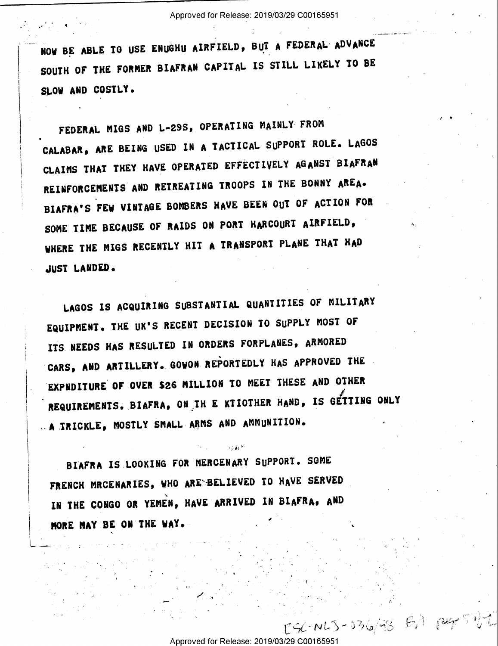NOW BE ABLE TO USE ENUGHU AIRFIELD, BUT A FEDERAL ADVANCE SOUTH OF THE FORMER BIAFRAN CAPITAL IS STILL LIKELY TO BE SLOW AND COSTLY.

FEDERAL MIGS AND L-29S, OPERATING MAINLY FROM CALABAR, ARE BEING USED IN A TACTICAL SUPPORT ROLE. LAGOS CLAIMS THAT THEY HAVE OPERATED EFFECTIVELY AGANST BIAFRAN REINFORCEMENTS AND RETREATING TROOPS IN THE BONNY AREA. BIAFRA'S FEW VINTAGE BOMBERS HAVE BEEN OUT OF ACTION FOR SOME TIME BECAUSE OF RAIDS ON PORT HARCOURT AIRFIELD, WHERE THE MIGS RECENTLY HIT A TRANSPORT PLANE THAT HAD JUST LANDED.

LAGOS IS ACQUIRING SUBSTANTIAL QUANTITIES OF MILITARY EQUIPMENT. THE UK'S RECENT DECISION TO SUPPLY MOST OF ITS NEEDS HAS RESULTED IN ORDERS FORPLANES, ARMORED CARS, AND ARTILLERY. GOWON REPORTEDLY HAS APPROVED THE EXPNDITURE OF OVER \$26 MILLION TO MEET THESE AND OTHER REQUIREMENTS. BIAFRA, ON TH E KTIOTHER HAND, IS GETTING ONLY A TRICKLE, MOSTLY SMALL ARMS AND AMMUNITION.

BIAFRA IS LOOKING FOR MERCENARY SUPPORT. SOME FRENCH MRCENARIES, WHO ARE BELIEVED TO HAVE SERVED IN THE CONGO OR YEMEN, HAVE ARRIVED IN BIAFRA, AND MORE MAY BE ON THE WAY.

Approved for Release: 2019/03/29 C00165951

 $ESC- NLS-036/98$   $B/1.129854$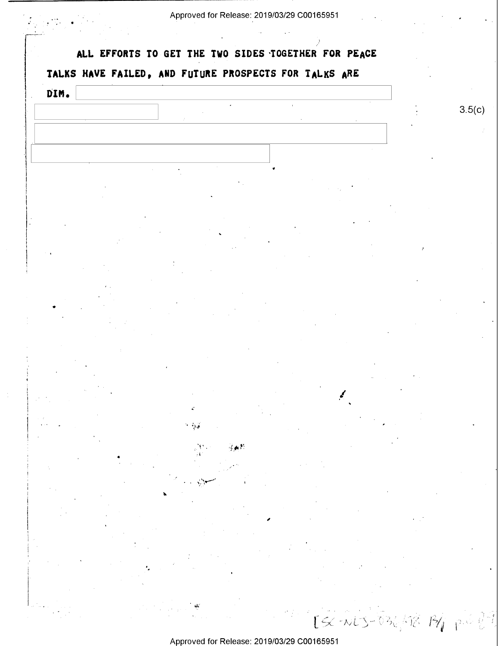|      | TALKS HAVE FAILED, AND FUTURE PROSPECTS FOR TALKS ARE |  |  |  | ALL EFFORTS TO GET THE TWO SIDES TOGETHER FOR PEACE |  |        |
|------|-------------------------------------------------------|--|--|--|-----------------------------------------------------|--|--------|
| DIM. |                                                       |  |  |  |                                                     |  |        |
|      |                                                       |  |  |  |                                                     |  | 3.5(c) |
|      |                                                       |  |  |  |                                                     |  |        |
|      |                                                       |  |  |  |                                                     |  |        |
|      |                                                       |  |  |  |                                                     |  |        |
|      |                                                       |  |  |  |                                                     |  |        |
|      |                                                       |  |  |  |                                                     |  |        |
|      |                                                       |  |  |  |                                                     |  |        |
|      |                                                       |  |  |  |                                                     |  |        |
|      |                                                       |  |  |  |                                                     |  |        |
|      |                                                       |  |  |  |                                                     |  |        |
|      |                                                       |  |  |  |                                                     |  |        |
|      |                                                       |  |  |  |                                                     |  |        |
|      |                                                       |  |  |  |                                                     |  |        |
|      |                                                       |  |  |  |                                                     |  |        |
|      |                                                       |  |  |  |                                                     |  |        |
|      |                                                       |  |  |  |                                                     |  |        |
|      |                                                       |  |  |  |                                                     |  |        |
|      |                                                       |  |  |  |                                                     |  |        |
|      |                                                       |  |  |  |                                                     |  |        |
|      |                                                       |  |  |  |                                                     |  |        |
|      |                                                       |  |  |  |                                                     |  |        |
|      |                                                       |  |  |  |                                                     |  |        |
|      |                                                       |  |  |  |                                                     |  |        |
|      |                                                       |  |  |  |                                                     |  |        |
|      |                                                       |  |  |  |                                                     |  |        |
|      |                                                       |  |  |  |                                                     |  |        |

 $\mathcal{L}^{\mathcal{L}}$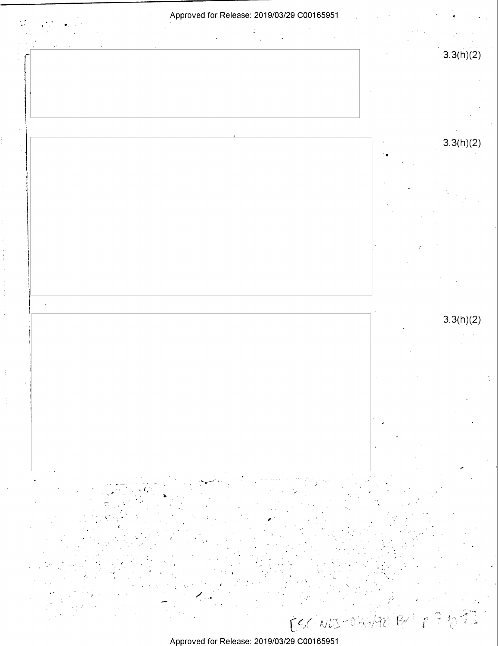$\bar{z}$ 

 $\bar{z}$ 

医生物 计类型

 $\begin{array}{c} 1 \\ 1 \\ 2 \\ 3 \\ 4 \end{array}$ 

 $\frac{1}{2}$ 

 $\ddot{\phantom{1}}$ 

 $\ddot{\phantom{a}}$  .

 $\overline{a}$ 

 $\sim$  $\mathcal{L}_{\mathcal{A}}$ 

| Approved for Release: 2019/03/29 C00165951 |           |
|--------------------------------------------|-----------|
|                                            | 3.3(h)(2) |
|                                            |           |
|                                            |           |
|                                            |           |
|                                            | 3.3(h)(2) |
|                                            |           |
|                                            |           |
|                                            |           |
|                                            |           |
|                                            |           |
|                                            |           |
|                                            |           |
|                                            | 3.3(h)(2) |
|                                            |           |
|                                            |           |
|                                            |           |
|                                            |           |
|                                            |           |
|                                            |           |
|                                            |           |
|                                            |           |
|                                            |           |
|                                            |           |
|                                            |           |
|                                            |           |
|                                            | نڈر آ     |
|                                            | TSCNIS    |

Approved for Release: 2019/03/29 C00165951

1.' <sup>w</sup>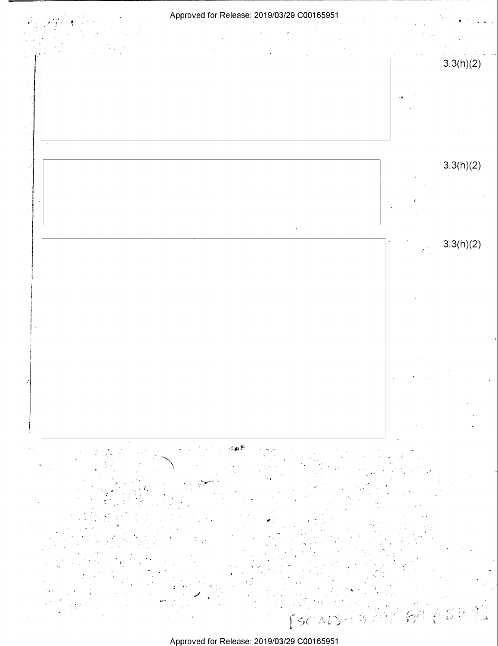|  | Approved for Release: 2019/03/29 C00165951 |                                                |          |                     |           |
|--|--------------------------------------------|------------------------------------------------|----------|---------------------|-----------|
|  |                                            |                                                |          |                     |           |
|  |                                            | $\hat{\phantom{a}}$                            |          |                     | 3.3(h)(2) |
|  |                                            |                                                | $\alpha$ |                     |           |
|  |                                            |                                                |          |                     |           |
|  |                                            |                                                |          |                     | 3.3(h)(2) |
|  |                                            |                                                |          |                     |           |
|  |                                            | $\bullet$                                      |          | $\mathcal{F}^{(1)}$ | 3.3(h)(2) |
|  |                                            |                                                |          |                     |           |
|  |                                            |                                                |          |                     |           |
|  |                                            |                                                |          |                     |           |
|  |                                            |                                                |          |                     |           |
|  |                                            |                                                |          |                     |           |
|  |                                            |                                                |          |                     |           |
|  |                                            |                                                |          |                     |           |
|  |                                            |                                                |          |                     |           |
|  |                                            |                                                |          |                     |           |
|  |                                            |                                                |          |                     |           |
|  |                                            | $\mathbb{Z}[\mathbb{A}]$<br>$\int \mathcal{L}$ |          |                     |           |